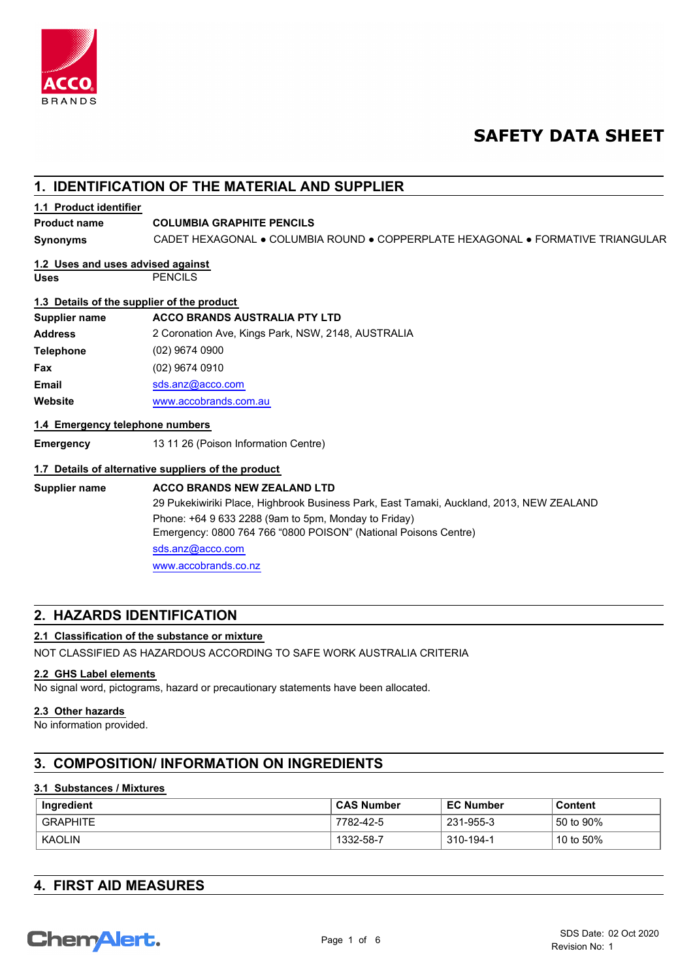

# **SAFETY DATA SHEET**

# **1. IDENTIFICATION OF THE MATERIAL AND SUPPLIER**

# **1.1 Product identifier**

## **Product name COLUMBIA GRAPHITE PENCILS**

**Synonyms** CADET HEXAGONAL ● COLUMBIA ROUND ● COPPERPLATE HEXAGONAL ● FORMATIVE TRIANGULAR

#### **Uses** PENCILS **1.2 Uses and uses advised against**

# **1.3 Details of the supplier of the product**

|                  | <b>1.0</b> Botano of the cappilor of the product   |
|------------------|----------------------------------------------------|
| Supplier name    | <b>ACCO BRANDS AUSTRALIA PTY LTD</b>               |
| <b>Address</b>   | 2 Coronation Ave, Kings Park, NSW, 2148, AUSTRALIA |
| <b>Telephone</b> | $(02)$ 9674 0900                                   |
| Fax              | (02) 9674 0910                                     |
| <b>Email</b>     | sds.anz@acco.com                                   |
| Website          | www.accobrands.com.au                              |
|                  |                                                    |

## **1.4 Emergency telephone numbers**

**Emergency** 13 11 26 (Poison Information Centre)

## **1.7 Details of alternative suppliers of the product**

**Supplier name ACCO BRANDS NEW ZEALAND LTD** 29 Pukekiwiriki Place, Highbrook Business Park, East Tamaki, Auckland, 2013, NEW ZEALAND Phone: +64 9 633 2288 (9am to 5pm, Monday to Friday) Emergency: 0800 764 766 "0800 POISON" (National Poisons Centre) [sds.anz@](mailto:sds.anz@acco.com)acco.com [www.accob](www.accobrands.co.nz)rands.co.nz

# **2. HAZARDS IDENTIFICATION**

# **2.1 Classification of the substance or mixture**

NOT CLASSIFIED AS HAZARDOUS ACCORDING TO SAFE WORK AUSTRALIA CRITERIA

# **2.2 GHS Label elements**

No signal word, pictograms, hazard or precautionary statements have been allocated.

#### **2.3 Other hazards**

No information provided.

# **3. COMPOSITION/ INFORMATION ON INGREDIENTS**

#### **3.1 Substances / Mixtures**

| Ingredient      | <b>CAS Number</b> | <b>EC Number</b> | Content              |
|-----------------|-------------------|------------------|----------------------|
| <b>GRAPHITE</b> | 7782-42-5         | 231-955-3        | 50 to 90%            |
| KAOLIN          | 1332-58-7         | 310-194-1        | $^{\circ}$ 10 to 50% |

|  |  |  | <b>4. FIRST AID MEASURES</b> |  |
|--|--|--|------------------------------|--|
|--|--|--|------------------------------|--|

# **ChemAlert.**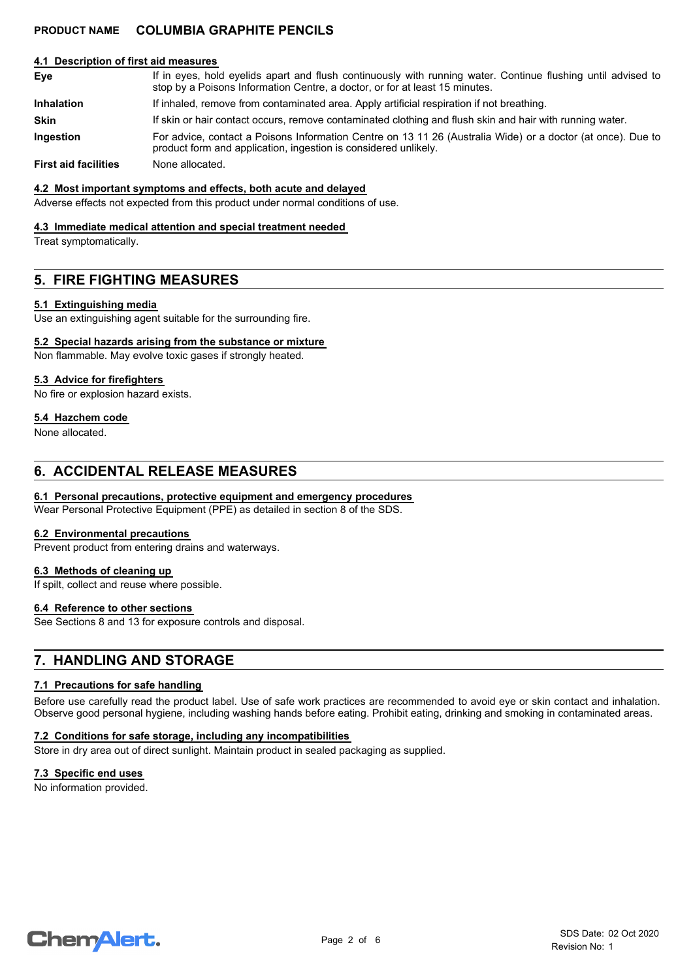#### **4.1 Description of first aid measures**

| Eye | If in eyes, hold eyelids apart and flush continuously with running water. Continue flushing until advised to |
|-----|--------------------------------------------------------------------------------------------------------------|
|     | stop by a Poisons Information Centre, a doctor, or for at least 15 minutes.                                  |
|     |                                                                                                              |

**Inhalation** If inhaled, remove from contaminated area. Apply artificial respiration if not breathing.

**Skin** If skin or hair contact occurs, remove contaminated clothing and flush skin and hair with running water.

For advice, contact a Poisons Information Centre on 13 11 26 (Australia Wide) or a doctor (at once). Due to product form and application, ingestion is considered unlikely. **Ingestion**

**First aid facilities** None allocated.

#### **4.2 Most important symptoms and effects, both acute and delayed**

Adverse effects not expected from this product under normal conditions of use.

#### **4.3 Immediate medical attention and special treatment needed**

Treat symptomatically.

# **5. FIRE FIGHTING MEASURES**

#### **5.1 Extinguishing media**

Use an extinguishing agent suitable for the surrounding fire.

#### **5.2 Special hazards arising from the substance or mixture**

Non flammable. May evolve toxic gases if strongly heated.

#### **5.3 Advice for firefighters**

No fire or explosion hazard exists.

#### **5.4 Hazchem code**

None allocated.

# **6. ACCIDENTAL RELEASE MEASURES**

#### **6.1 Personal precautions, protective equipment and emergency procedures**

Wear Personal Protective Equipment (PPE) as detailed in section 8 of the SDS.

#### **6.2 Environmental precautions**

Prevent product from entering drains and waterways.

#### **6.3 Methods of cleaning up**

If spilt, collect and reuse where possible.

#### **6.4 Reference to other sections**

See Sections 8 and 13 for exposure controls and disposal.

# **7. HANDLING AND STORAGE**

#### **7.1 Precautions for safe handling**

Before use carefully read the product label. Use of safe work practices are recommended to avoid eye or skin contact and inhalation. Observe good personal hygiene, including washing hands before eating. Prohibit eating, drinking and smoking in contaminated areas.

#### **7.2 Conditions for safe storage, including any incompatibilities**

Store in dry area out of direct sunlight. Maintain product in sealed packaging as supplied.

#### **7.3 Specific end uses**

No information provided.

# **ChemAlert.**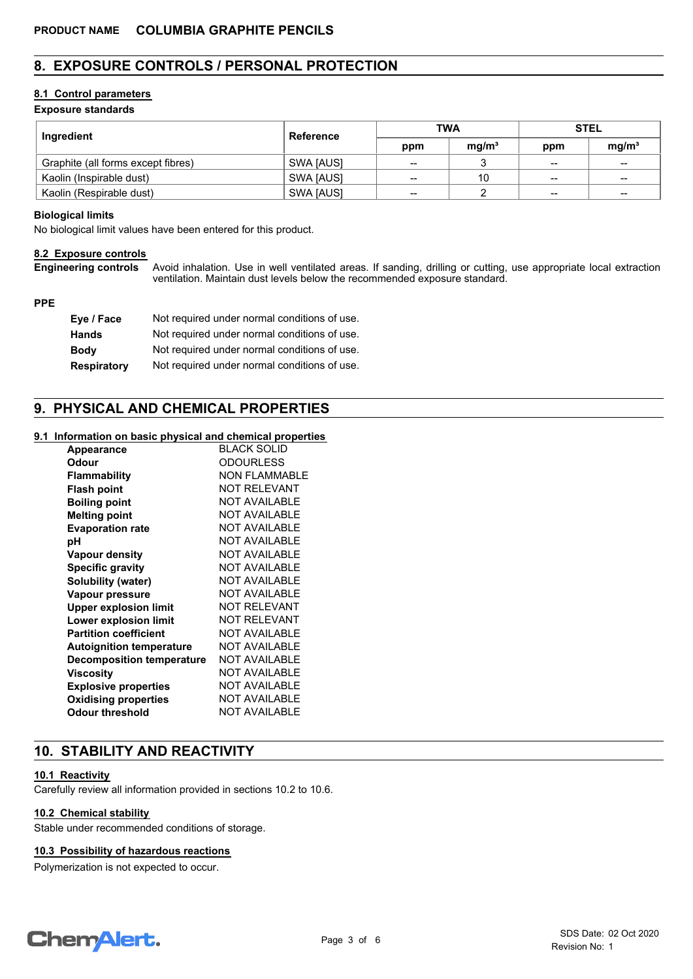# **8. EXPOSURE CONTROLS / PERSONAL PROTECTION**

## **8.1 Control parameters**

## **Exposure standards**

| Ingredient                         | Reference | <b>TWA</b>      |                   | <b>STEL</b>       |                   |
|------------------------------------|-----------|-----------------|-------------------|-------------------|-------------------|
|                                    |           |                 | mq/m <sup>3</sup> | ppm               | mq/m <sup>3</sup> |
| Graphite (all forms except fibres) | SWA [AUS] | $\qquad \qquad$ |                   | $\qquad \qquad$   | $- -$             |
| Kaolin (Inspirable dust)           | SWA JAUSI | --              | 10                | $\qquad \qquad$   | $- -$             |
| Kaolin (Respirable dust)           | SWA [AUS] | $-$             |                   | $\hspace{0.05cm}$ | $\qquad \qquad$   |

#### **Biological limits**

No biological limit values have been entered for this product.

#### **8.2 Exposure controls**

**Engineering controls**

Avoid inhalation. Use in well ventilated areas. If sanding, drilling or cutting, use appropriate local extraction ventilation. Maintain dust levels below the recommended exposure standard.

#### **PPE**

| Eye / Face         | Not required under normal conditions of use. |
|--------------------|----------------------------------------------|
| <b>Hands</b>       | Not required under normal conditions of use. |
| <b>Body</b>        | Not required under normal conditions of use. |
| <b>Respiratory</b> | Not required under normal conditions of use. |

# **9. PHYSICAL AND CHEMICAL PROPERTIES**

#### **9.1 Information on basic physical and chemical properties**

| <b>Appearance</b>                | <b>BLACK SOLID</b>   |
|----------------------------------|----------------------|
| Odour                            | <b>ODOURLESS</b>     |
| Flammability                     | <b>NON FLAMMABLE</b> |
| <b>Flash point</b>               | <b>NOT RELEVANT</b>  |
| <b>Boiling point</b>             | <b>NOT AVAILABLE</b> |
| <b>Melting point</b>             | <b>NOT AVAILABLE</b> |
| <b>Evaporation rate</b>          | <b>NOT AVAILABLE</b> |
| рH                               | <b>NOT AVAILABLE</b> |
| Vapour density                   | <b>NOT AVAILABLE</b> |
| <b>Specific gravity</b>          | <b>NOT AVAILABLE</b> |
| Solubility (water)               | <b>NOT AVAILABLE</b> |
| <b>Vapour pressure</b>           | <b>NOT AVAILABLE</b> |
| <b>Upper explosion limit</b>     | <b>NOT RELEVANT</b>  |
| Lower explosion limit            | NOT RFI FVANT        |
| <b>Partition coefficient</b>     | <b>NOT AVAILABLE</b> |
| <b>Autoignition temperature</b>  | <b>NOT AVAILABLE</b> |
| <b>Decomposition temperature</b> | <b>NOT AVAILABLE</b> |
| Viscosity                        | <b>NOT AVAILABLE</b> |
| <b>Explosive properties</b>      | <b>NOT AVAILABLE</b> |
| <b>Oxidising properties</b>      | <b>NOT AVAILABLE</b> |
| Odour threshold                  | <b>NOT AVAILABLE</b> |
|                                  |                      |

# **10. STABILITY AND REACTIVITY**

#### **10.1 Reactivity**

Carefully review all information provided in sections 10.2 to 10.6.

## **10.2 Chemical stability**

Stable under recommended conditions of storage.

#### **10.3 Possibility of hazardous reactions**

Polymerization is not expected to occur.

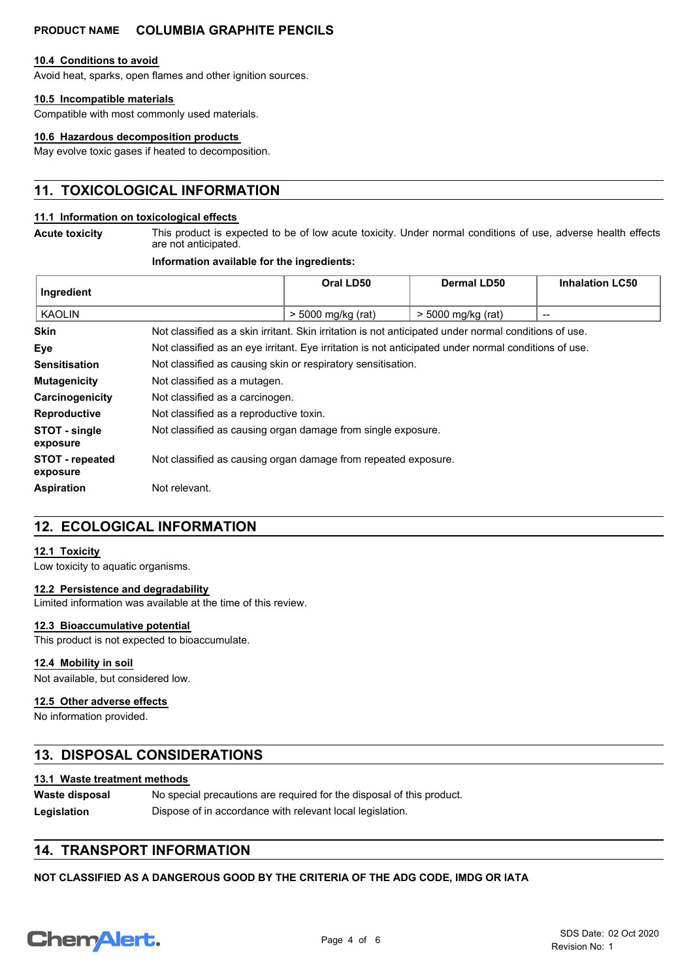#### **10.4 Conditions to avoid**

Avoid heat, sparks, open flames and other ignition sources.

## **10.5 Incompatible materials**

Compatible with most commonly used materials.

#### **10.6 Hazardous decomposition products**

May evolve toxic gases if heated to decomposition.

# **11. TOXICOLOGICAL INFORMATION**

#### **11.1 Information on toxicological effects**

**Acute toxicity**

This product is expected to be of low acute toxicity. Under normal conditions of use, adverse health effects are not anticipated.

### **Information available for the ingredients:**

| Ingredient                         |                                                                                                       | Oral LD50                                                    | Dermal LD50        | <b>Inhalation LC50</b>   |
|------------------------------------|-------------------------------------------------------------------------------------------------------|--------------------------------------------------------------|--------------------|--------------------------|
| <b>KAOLIN</b>                      |                                                                                                       | > 5000 mg/kg (rat)                                           | > 5000 mg/kg (rat) | $\overline{\phantom{a}}$ |
| <b>Skin</b>                        | Not classified as a skin irritant. Skin irritation is not anticipated under normal conditions of use. |                                                              |                    |                          |
| Eye                                | Not classified as an eye irritant. Eye irritation is not anticipated under normal conditions of use.  |                                                              |                    |                          |
| <b>Sensitisation</b>               |                                                                                                       | Not classified as causing skin or respiratory sensitisation. |                    |                          |
| <b>Mutagenicity</b>                | Not classified as a mutagen.                                                                          |                                                              |                    |                          |
| Carcinogenicity                    | Not classified as a carcinogen.                                                                       |                                                              |                    |                          |
| <b>Reproductive</b>                | Not classified as a reproductive toxin.                                                               |                                                              |                    |                          |
| STOT - single<br>exposure          | Not classified as causing organ damage from single exposure.                                          |                                                              |                    |                          |
| <b>STOT</b> - repeated<br>exposure | Not classified as causing organ damage from repeated exposure.                                        |                                                              |                    |                          |
| <b>Aspiration</b>                  | Not relevant.                                                                                         |                                                              |                    |                          |

# **12. ECOLOGICAL INFORMATION**

#### **12.1 Toxicity**

Low toxicity to aquatic organisms.

#### **12.2 Persistence and degradability**

Limited information was available at the time of this review.

#### **12.3 Bioaccumulative potential**

This product is not expected to bioaccumulate.

#### **12.4 Mobility in soil**

Not available, but considered low.

#### **12.5 Other adverse effects**

No information provided.

# **13. DISPOSAL CONSIDERATIONS**

#### **13.1 Waste treatment methods**

| Waste disposal | No special precautions are required for the disposal of this product. |
|----------------|-----------------------------------------------------------------------|
| Legislation    | Dispose of in accordance with relevant local legislation.             |

# **14. TRANSPORT INFORMATION**

**NOT CLASSIFIED AS A DANGEROUS GOOD BY THE CRITERIA OF THE ADG CODE, IMDG OR IATA**

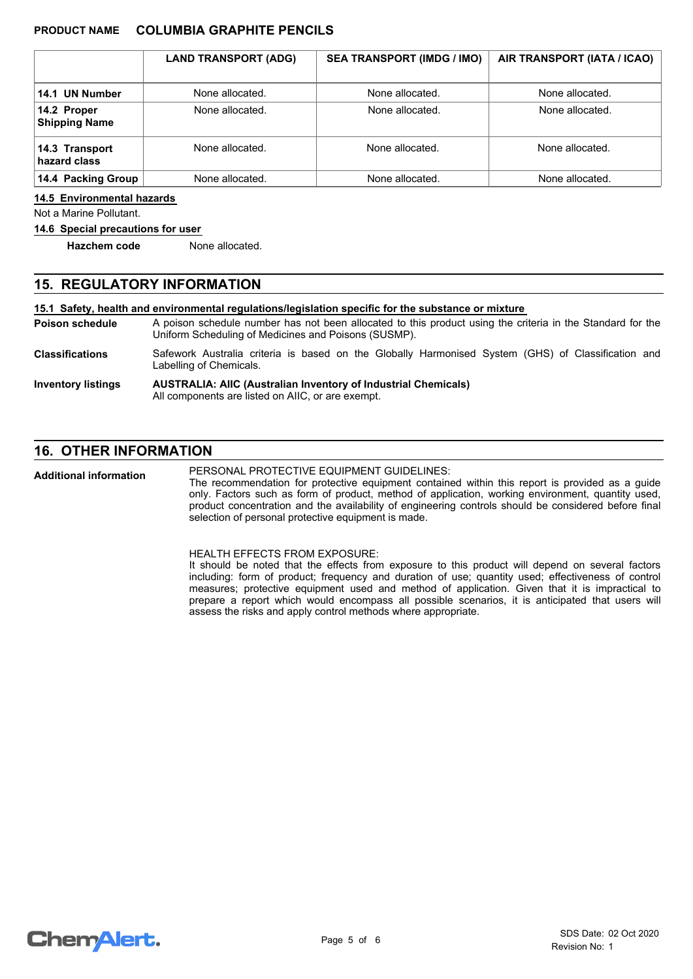|                                     | <b>LAND TRANSPORT (ADG)</b> | <b>SEA TRANSPORT (IMDG / IMO)</b> | AIR TRANSPORT (IATA / ICAO) |
|-------------------------------------|-----------------------------|-----------------------------------|-----------------------------|
| 14.1 UN Number                      | None allocated.             | None allocated.                   | None allocated.             |
| 14.2 Proper<br><b>Shipping Name</b> | None allocated.             | None allocated.                   | None allocated.             |
| 14.3 Transport<br>hazard class      | None allocated.             | None allocated.                   | None allocated.             |
| 14.4 Packing Group                  | None allocated.             | None allocated.                   | None allocated.             |

#### **14.5 Environmental hazards**

Not a Marine Pollutant.

#### **14.6 Special precautions for user**

**Hazchem code** None allocated.

# **15. REGULATORY INFORMATION**

**15.1 Safety, health and environmental regulations/legislation specific for the substance or mixture**

A poison schedule number has not been allocated to this product using the criteria in the Standard for the Uniform Scheduling of Medicines and Poisons (SUSMP). **Poison schedule**

Safework Australia criteria is based on the Globally Harmonised System (GHS) of Classification and Labelling of Chemicals. **Classifications**

#### **AUSTRALIA: AIIC (Australian Inventory of Industrial Chemicals)** All components are listed on AIIC, or are exempt. **Inventory listings**

# **16. OTHER INFORMATION**

PERSONAL PROTECTIVE EQUIPMENT GUIDELINES: **Additional information**

The recommendation for protective equipment contained within this report is provided as a guide only. Factors such as form of product, method of application, working environment, quantity used, product concentration and the availability of engineering controls should be considered before final selection of personal protective equipment is made.

HEALTH EFFECTS FROM EXPOSURE:

It should be noted that the effects from exposure to this product will depend on several factors including: form of product; frequency and duration of use; quantity used; effectiveness of control measures; protective equipment used and method of application. Given that it is impractical to prepare a report which would encompass all possible scenarios, it is anticipated that users will assess the risks and apply control methods where appropriate.